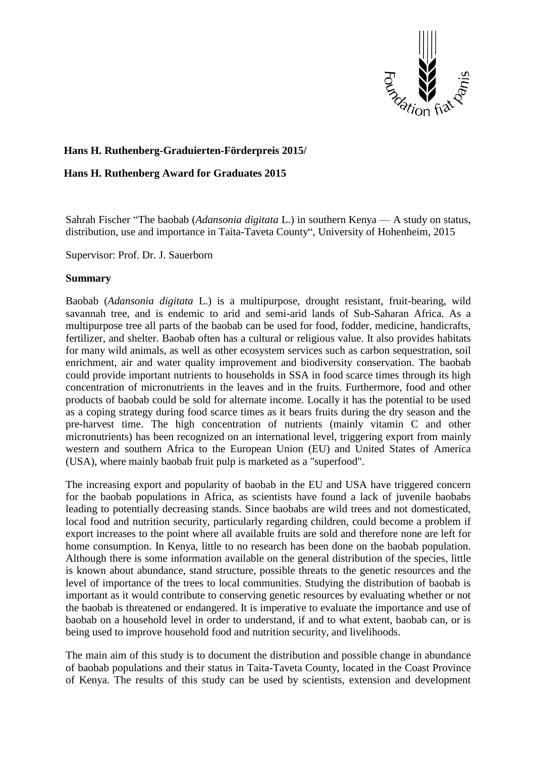

## **Hans H. Ruthenberg-Graduierten-Förderpreis 2015/**

## **Hans H. Ruthenberg Award for Graduates 2015**

Sahrah Fischer "The baobab (*Adansonia digitata* L.) in southern Kenya — A study on status, distribution, use and importance in Taita-Taveta County", University of Hohenheim, 2015

Supervisor: Prof. Dr. J. Sauerborn

## **Summary**

Baobab (*Adansonia digitata* L.) is a multipurpose, drought resistant, fruit-bearing, wild savannah tree, and is endemic to arid and semi-arid lands of Sub-Saharan Africa. As a multipurpose tree all parts of the baobab can be used for food, fodder, medicine, handicrafts, fertilizer, and shelter. Baobab often has a cultural or religious value. It also provides habitats for many wild animals, as well as other ecosystem services such as carbon sequestration, soil enrichment, air and water quality improvement and biodiversity conservation. The baobab could provide important nutrients to households in SSA in food scarce times through its high concentration of micronutrients in the leaves and in the fruits. Furthermore, food and other products of baobab could be sold for alternate income. Locally it has the potential to be used as a coping strategy during food scarce times as it bears fruits during the dry season and the pre-harvest time. The high concentration of nutrients (mainly vitamin C and other micronutrients) has been recognized on an international level, triggering export from mainly western and southern Africa to the European Union (EU) and United States of America (USA), where mainly baobab fruit pulp is marketed as a "superfood".

The increasing export and popularity of baobab in the EU and USA have triggered concern for the baobab populations in Africa, as scientists have found a lack of juvenile baobabs leading to potentially decreasing stands. Since baobabs are wild trees and not domesticated, local food and nutrition security, particularly regarding children, could become a problem if export increases to the point where all available fruits are sold and therefore none are left for home consumption. In Kenya, little to no research has been done on the baobab population. Although there is some information available on the general distribution of the species, little is known about abundance, stand structure, possible threats to the genetic resources and the level of importance of the trees to local communities. Studying the distribution of baobab is important as it would contribute to conserving genetic resources by evaluating whether or not the baobab is threatened or endangered. It is imperative to evaluate the importance and use of baobab on a household level in order to understand, if and to what extent, baobab can, or is being used to improve household food and nutrition security, and livelihoods.

The main aim of this study is to document the distribution and possible change in abundance of baobab populations and their status in Taita-Taveta County, located in the Coast Province of Kenya. The results of this study can be used by scientists, extension and development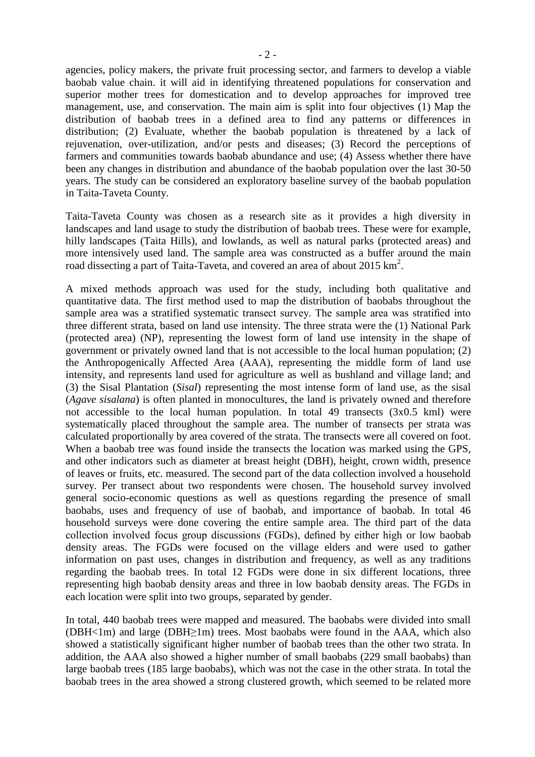agencies, policy makers, the private fruit processing sector, and farmers to develop a viable baobab value chain. it will aid in identifying threatened populations for conservation and superior mother trees for domestication and to develop approaches for improved tree management, use, and conservation. The main aim is split into four objectives (1) Map the distribution of baobab trees in a defined area to find any patterns or differences in distribution; (2) Evaluate, whether the baobab population is threatened by a lack of rejuvenation, over-utilization, and/or pests and diseases; (3) Record the perceptions of farmers and communities towards baobab abundance and use; (4) Assess whether there have been any changes in distribution and abundance of the baobab population over the last 30-50

Taita-Taveta County was chosen as a research site as it provides a high diversity in landscapes and land usage to study the distribution of baobab trees. These were for example, hilly landscapes (Taita Hills), and lowlands, as well as natural parks (protected areas) and more intensively used land. The sample area was constructed as a buffer around the main road dissecting a part of Taita-Taveta, and covered an area of about 2015  $\text{km}^2$ .

years. The study can be considered an exploratory baseline survey of the baobab population

in Taita-Taveta County.

A mixed methods approach was used for the study, including both qualitative and quantitative data. The first method used to map the distribution of baobabs throughout the sample area was a stratified systematic transect survey. The sample area was stratified into three different strata, based on land use intensity. The three strata were the (1) National Park (protected area) (NP), representing the lowest form of land use intensity in the shape of government or privately owned land that is not accessible to the local human population; (2) the Anthropogenically Affected Area (AAA), representing the middle form of land use intensity, and represents land used for agriculture as well as bushland and village land; and (3) the Sisal Plantation (*Sisal*) representing the most intense form of land use, as the sisal (*Agave sisalana*) is often planted in monocultures, the land is privately owned and therefore not accessible to the local human population. In total 49 transects (3x0.5 kml) were systematically placed throughout the sample area. The number of transects per strata was calculated proportionally by area covered of the strata. The transects were all covered on foot. When a baobab tree was found inside the transects the location was marked using the GPS, and other indicators such as diameter at breast height (DBH), height, crown width, presence of leaves or fruits, etc. measured. The second part of the data collection involved a household survey. Per transect about two respondents were chosen. The household survey involved general socio-economic questions as well as questions regarding the presence of small baobabs, uses and frequency of use of baobab, and importance of baobab. In total 46 household surveys were done covering the entire sample area. The third part of the data collection involved focus group discussions (FGDs), defined by either high or low baobab density areas. The FGDs were focused on the village elders and were used to gather information on past uses, changes in distribution and frequency, as well as any traditions regarding the baobab trees. In total 12 FGDs were done in six different locations, three representing high baobab density areas and three in low baobab density areas. The FGDs in each location were split into two groups, separated by gender.

In total, 440 baobab trees were mapped and measured. The baobabs were divided into small (DBH<1m) and large (DBH≥1m) trees. Most baobabs were found in the AAA, which also showed a statistically significant higher number of baobab trees than the other two strata. In addition, the AAA also showed a higher number of small baobabs (229 small baobabs) than large baobab trees (185 large baobabs), which was not the case in the other strata. In total the baobab trees in the area showed a strong clustered growth, which seemed to be related more